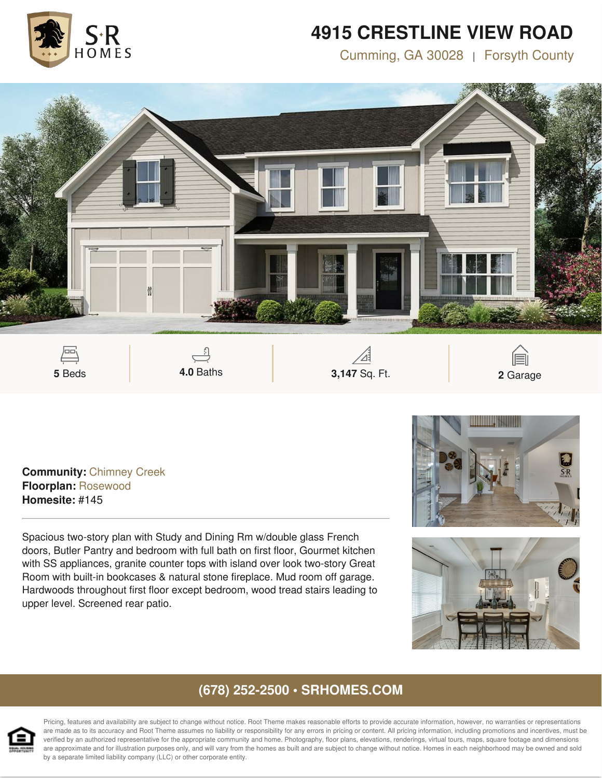

## **4915 CRESTLINE VIEW ROAD**

Cumming, GA 30028 | Forsyth County



**Community:** Chimney Creek **Floorplan:** Rosewood **Homesite:** #145

Spacious two-story plan with Study and Dining Rm w/double glass French doors, Butler Pantry and bedroom with full bath on first floor, Gourmet kitchen with SS appliances, granite counter tops with island over look two-story Great Room with built-in bookcases & natural stone fireplace. Mud room off garage. Hardwoods throughout first floor except bedroom, wood tread stairs leading to upper level. Screened rear patio.





### **(678) 252-2500 • SRHOMES.COM**



Pricing, features and availability are subject to change without notice. Root Theme makes reasonable efforts to provide accurate information, however, no warranties or representations are made as to its accuracy and Root Theme assumes no liability or responsibility for any errors in pricing or content. All pricing information, including promotions and incentives, must be verified by an authorized representative for the appropriate community and home. Photography, floor plans, elevations, renderings, virtual tours, maps, square footage and dimensions are approximate and for illustration purposes only, and will vary from the homes as built and are subject to change without notice. Homes in each neighborhood may be owned and sold by a separate limited liability company (LLC) or other corporate entity.